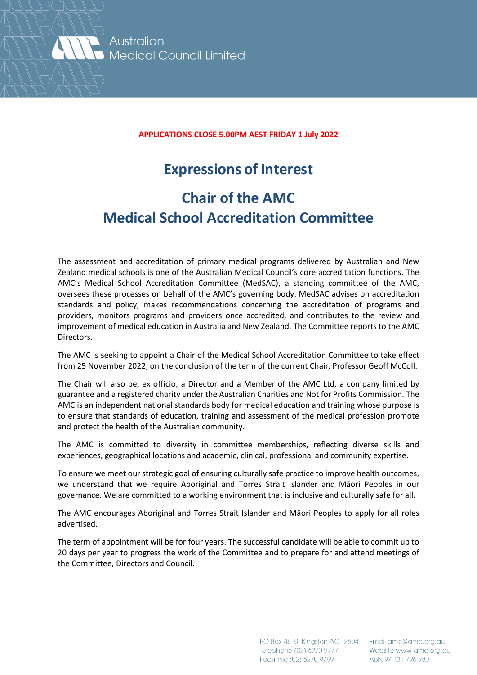

Australian **Medical Council Limited** 

## **APPLICATIONS CLOSE 5.00PM AEST FRIDAY 1 July 2022**

## **Expressions of Interest**

## **Chair of the AMC Medical School Accreditation Committee**

The assessment and accreditation of primary medical programs delivered by Australian and New Zealand medical schools is one of the Australian Medical Council's core accreditation functions. The AMC's Medical School Accreditation Committee (MedSAC), a standing committee of the AMC, oversees these processes on behalf of the AMC's governing body. MedSAC advises on accreditation standards and policy, makes recommendations concerning the accreditation of programs and providers, monitors programs and providers once accredited, and contributes to the review and improvement of medical education in Australia and New Zealand. The Committee reports to the AMC Directors.

The AMC is seeking to appoint a Chair of the Medical School Accreditation Committee to take effect from 25 November 2022, on the conclusion of the term of the current Chair, Professor Geoff McColl.

The Chair will also be, ex officio, a Director and a Member of the AMC Ltd, a company limited by guarantee and a registered charity under the Australian Charities and Not for Profits Commission. The AMC is an independent national standards body for medical education and training whose purpose is to ensure that standards of education, training and assessment of the medical profession promote and protect the health of the Australian community.

The AMC is committed to diversity in committee memberships, reflecting diverse skills and experiences, geographical locations and academic, clinical, professional and community expertise.

To ensure we meet our strategic goal of ensuring culturally safe practice to improve health outcomes, we understand that we require Aboriginal and Torres Strait Islander and Māori Peoples in our governance. We are committed to a working environment that is inclusive and culturally safe for all.

The AMC encourages Aboriginal and Torres Strait Islander and Māori Peoples to apply for all roles advertised.

The term of appointment will be for four years. The successful candidate will be able to commit up to 20 days per year to progress the work of the Committee and to prepare for and attend meetings of the Committee, Directors and Council.

> PO Box 4810, Kingston ACT 2604 Telephone (02) 6270 9777 Facsimile (02) 6270 9799